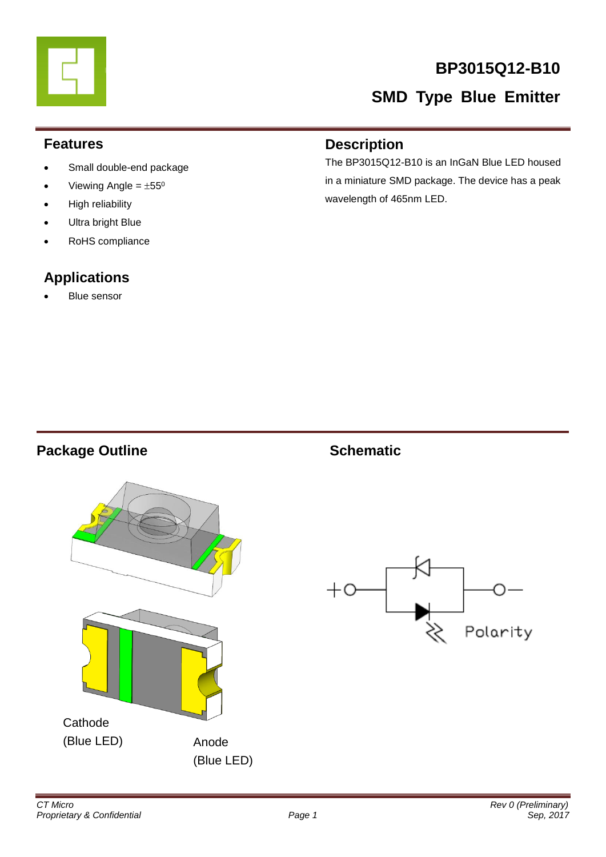

# **BP3015Q12-B10**

# **SMD Type Blue Emitter**

### **Features**

- Small double-end package
- Viewing Angle =  $\pm 55^{\circ}$
- High reliability
- Ultra bright Blue
- RoHS compliance

# **Applications**

Blue sensor

### **Description**

The BP3015Q12-B10 is an InGaN Blue LED housed in a miniature SMD package. The device has a peak wavelength of 465nm LED.

## **Package Outline Schematic**



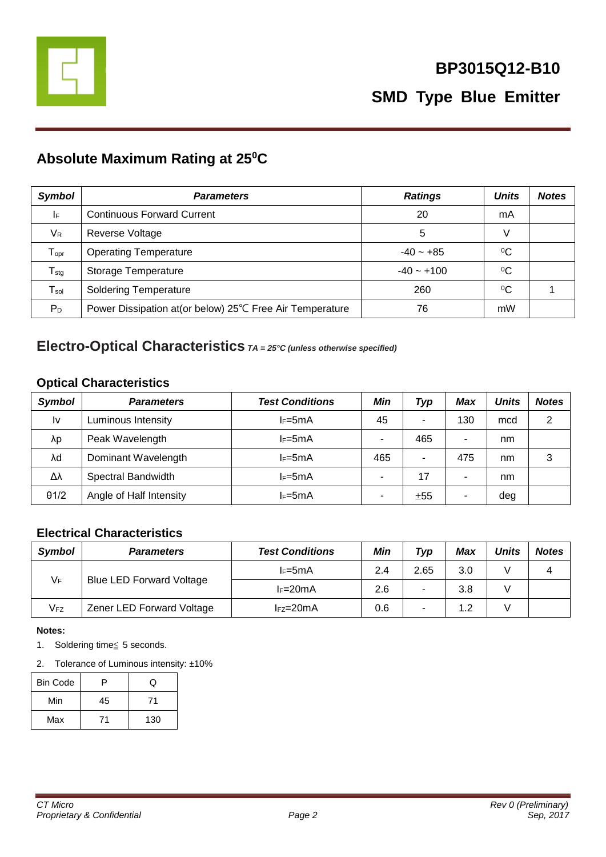

# **Absolute Maximum Rating at 25<sup>0</sup>C**

| <b>Symbol</b>                | <b>Parameters</b>                                        | <b>Ratings</b> | <b>Units</b> | <b>Notes</b> |
|------------------------------|----------------------------------------------------------|----------------|--------------|--------------|
| I۴                           | <b>Continuous Forward Current</b>                        | 20             | mA           |              |
| VR                           | Reverse Voltage                                          | 5              | V            |              |
| ${\mathsf T}_{\mathsf{opr}}$ | <b>Operating Temperature</b>                             | $-40 - +85$    | $^{0}C$      |              |
| ${\sf T}_{\sf stg}$          | Storage Temperature                                      | $-40 - +100$   | $\rm ^{0}C$  |              |
| $\mathsf{T}_{\mathsf{sol}}$  | <b>Soldering Temperature</b>                             | 260            | $^{0}C$      |              |
| $P_D$                        | Power Dissipation at (or below) 25℃ Free Air Temperature | 76             | mW           |              |

# **Electro-Optical Characteristics** *TA = 25°C (unless otherwise specified)*

### **Optical Characteristics**

| <b>Symbol</b> | <b>Parameters</b>       | <b>Test Conditions</b> | Min | Typ | Max | <b>Units</b> | <b>Notes</b> |
|---------------|-------------------------|------------------------|-----|-----|-----|--------------|--------------|
| Ιv            | Luminous Intensity      | $I_F = 5mA$            | 45  | ۰.  | 130 | mcd          | っ            |
| λp            | Peak Wavelength         | $I_F = 5mA$            | ۰   | 465 |     | nm           |              |
| λd            | Dominant Wavelength     | $I_F = 5mA$            | 465 | ۰   | 475 | nm           | 3            |
| Δλ            | Spectral Bandwidth      | $I_F = 5mA$            | ۰   | 17  |     | nm           |              |
| $\theta$ 1/2  | Angle of Half Intensity | $I_F = 5mA$            | -   | ±55 |     | deg          |              |

### **Electrical Characteristics**

| <b>Symbol</b>   | <b>Parameters</b>               | <b>Test Conditions</b> | Min | Typ  | <b>Max</b> | <b>Units</b> | <b>Notes</b> |
|-----------------|---------------------------------|------------------------|-----|------|------------|--------------|--------------|
|                 |                                 | $I_F=5mA$              | 2.4 | 2.65 | 3.0        |              |              |
| $V_F$           | <b>Blue LED Forward Voltage</b> | $I_F=20mA$             | 2.6 | ۰    | 3.8        |              |              |
| V <sub>FZ</sub> | Zener LED Forward Voltage       | $IFZ=20mA$             | 0.6 |      | 1.2        |              |              |

#### **Notes:**

- 1. Soldering time≦ 5 seconds.
- 2. Tolerance of Luminous intensity: ±10%

| <b>Bin Code</b> | o  | U   |
|-----------------|----|-----|
| Min             | 45 |     |
| Max             |    | 130 |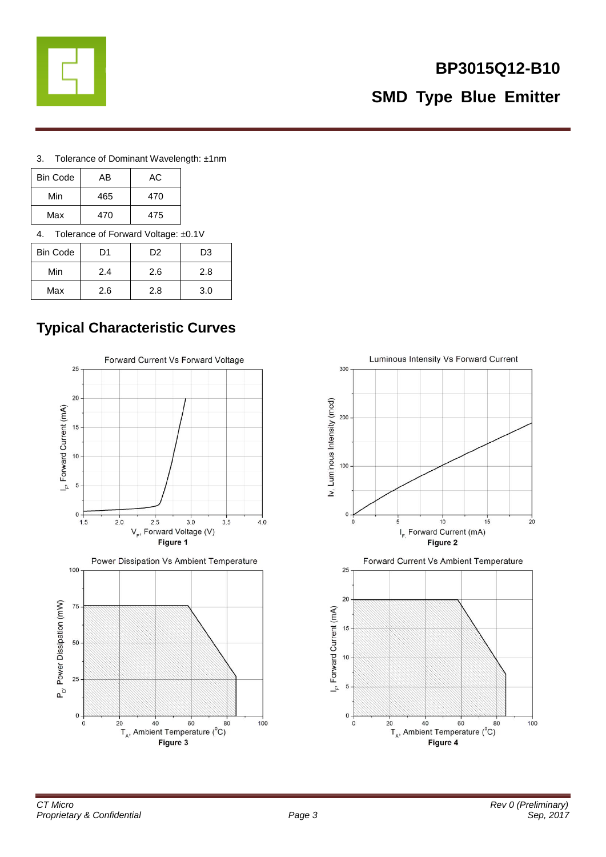

# **BP3015Q12-B10 SMD Type Blue Emitter**

3. Tolerance of Dominant Wavelength: ±1nm

| <b>Bin Code</b>                     | AB  | АC  |  |  |
|-------------------------------------|-----|-----|--|--|
| Min                                 | 465 | 470 |  |  |
| Max                                 | 470 | 475 |  |  |
| Tolerance of Forward Voltage: ±0.1V |     |     |  |  |

| <b>Bin Code</b> | D1  | D <sub>2</sub> | D <sub>3</sub> |  |  |
|-----------------|-----|----------------|----------------|--|--|
| Min             | 2.4 | 2.6            | 2.8            |  |  |
| Max             | 2.6 | 2.8            | 3.0            |  |  |

# **Typical Characteristic Curves**



Power Dissipation Vs Ambient Temperature



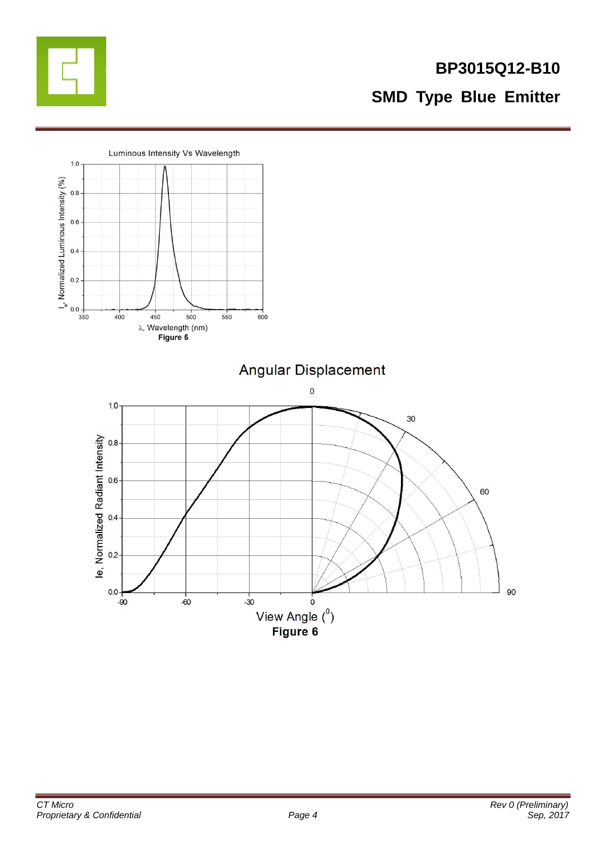

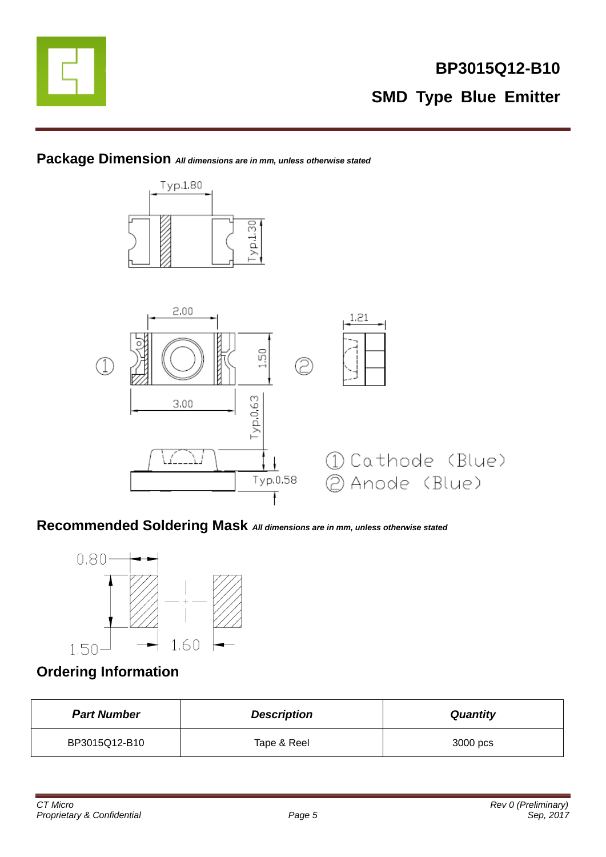

### **Package Dimension** *All dimensions are in mm, unless otherwise stated*



### **Recommended Soldering Mask** *All dimensions are in mm, unless otherwise stated*



### **Ordering Information**

| <b>Part Number</b> | <b>Description</b> | <b>Quantity</b> |
|--------------------|--------------------|-----------------|
| BP3015Q12-B10      | Tape & Reel        | 3000 pcs        |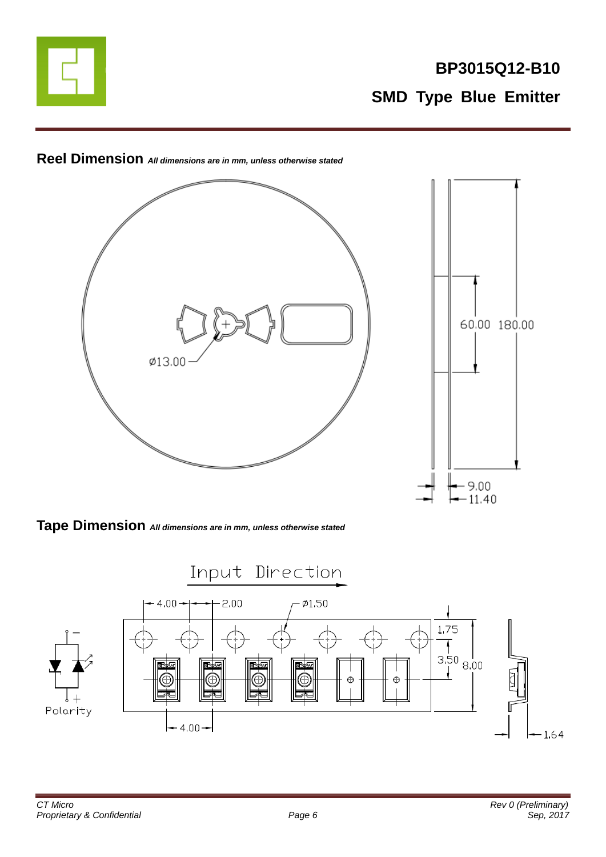



**Reel Dimension** *All dimensions are in mm, unless otherwise stated*

**Tape Dimension** *All dimensions are in mm, unless otherwise stated*

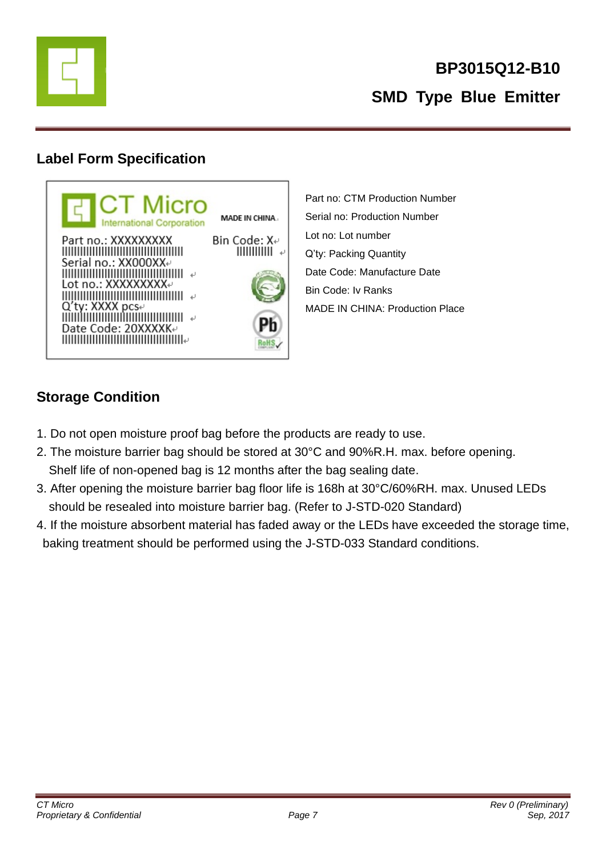

## **Label Form Specification**



Part no: CTM Production Number Serial no: Production Number Lot no: Lot number Q'ty: Packing Quantity Date Code: Manufacture Date Bin Code: Iv Ranks MADE IN CHINA: Production Place

# **Storage Condition**

- 1. Do not open moisture proof bag before the products are ready to use.
- 2. The moisture barrier bag should be stored at 30°C and 90%R.H. max. before opening. Shelf life of non-opened bag is 12 months after the bag sealing date.
- 3. After opening the moisture barrier bag floor life is 168h at 30°C/60%RH. max. Unused LEDs should be resealed into moisture barrier bag. (Refer to J-STD-020 Standard)
- 4. If the moisture absorbent material has faded away or the LEDs have exceeded the storage time, baking treatment should be performed using the J-STD-033 Standard conditions.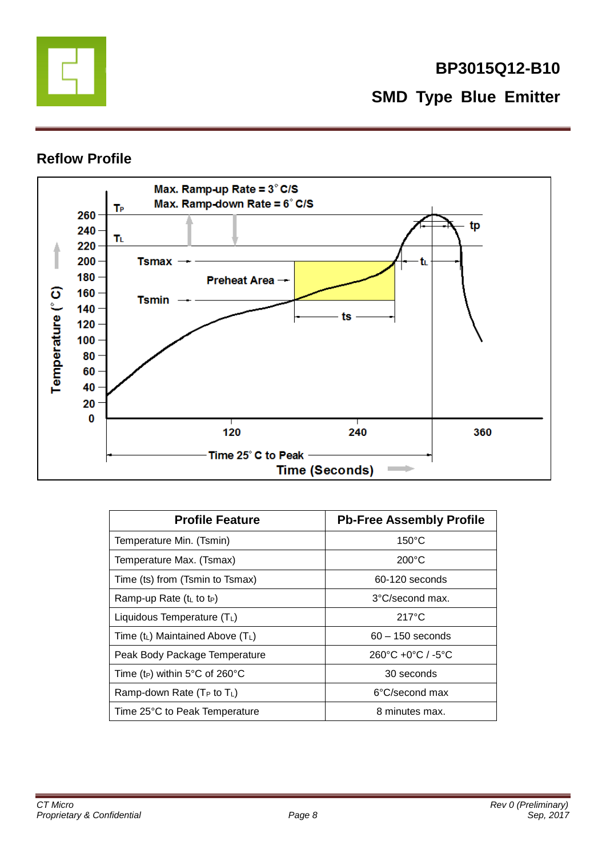

# **BP3015Q12-B10 SMD Type Blue Emitter**

### **Reflow Profile**



| <b>Profile Feature</b>                     | <b>Pb-Free Assembly Profile</b>                   |  |  |
|--------------------------------------------|---------------------------------------------------|--|--|
| Temperature Min. (Tsmin)                   | $150^{\circ}$ C                                   |  |  |
| Temperature Max. (Tsmax)                   | $200^{\circ}$ C                                   |  |  |
| Time (ts) from (Tsmin to Tsmax)            | 60-120 seconds                                    |  |  |
| Ramp-up Rate $(tL$ to t <sub>P</sub> )     | $3^{\circ}$ C/second max.                         |  |  |
| Liquidous Temperature $(T_L)$              | $217^{\circ}$ C                                   |  |  |
| Time $(t_L)$ Maintained Above $(T_L)$      | $60 - 150$ seconds                                |  |  |
| Peak Body Package Temperature              | $260^{\circ}$ C +0 $^{\circ}$ C / -5 $^{\circ}$ C |  |  |
| Time (t <sub>P</sub> ) within 5°C of 260°C | 30 seconds                                        |  |  |
| Ramp-down Rate ( $T_P$ to $T_L$ )          | 6°C/second max                                    |  |  |
| Time 25°C to Peak Temperature              | 8 minutes max.                                    |  |  |